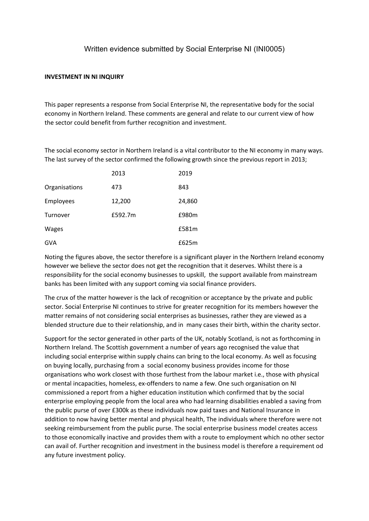## Written evidence submitted by Social Enterprise NI (INI0005)

## **INVESTMENT IN NI INQUIRY**

This paper represents a response from Social Enterprise NI, the representative body for the social economy in Northern Ireland. These comments are general and relate to our current view of how the sector could benefit from further recognition and investment.

The social economy sector in Northern Ireland is a vital contributor to the NI economy in many ways. The last survey of the sector confirmed the following growth since the previous report in 2013;

|               | 2013    | 2019   |
|---------------|---------|--------|
| Organisations | 473     | 843    |
| Employees     | 12,200  | 24,860 |
| Turnover      | £592.7m | £980m  |
| <b>Wages</b>  |         | £581m  |
| <b>GVA</b>    |         | £625m  |

Noting the figures above, the sector therefore is a significant player in the Northern Ireland economy however we believe the sector does not get the recognition that it deserves. Whilst there is a responsibility for the social economy businesses to upskill, the support available from mainstream banks has been limited with any support coming via social finance providers.

The crux of the matter however is the lack of recognition or acceptance by the private and public sector. Social Enterprise NI continues to strive for greater recognition for its members however the matter remains of not considering social enterprises as businesses, rather they are viewed as a blended structure due to their relationship, and in many cases their birth, within the charity sector.

Support for the sector generated in other parts of the UK, notably Scotland, is not as forthcoming in Northern Ireland. The Scottish government a number of years ago recognised the value that including social enterprise within supply chains can bring to the local economy. As well as focusing on buying locally, purchasing from a social economy business provides income for those organisations who work closest with those furthest from the labour market i.e., those with physical or mental incapacities, homeless, ex-offenders to name a few. One such organisation on NI commissioned a report from a higher education institution which confirmed that by the social enterprise employing people from the local area who had learning disabilities enabled a saving from the public purse of over £300k as these individuals now paid taxes and National Insurance in addition to now having better mental and physical health, The individuals where therefore were not seeking reimbursement from the public purse. The social enterprise business model creates access to those economically inactive and provides them with a route to employment which no other sector can avail of. Further recognition and investment in the business model is therefore a requirement od any future investment policy.